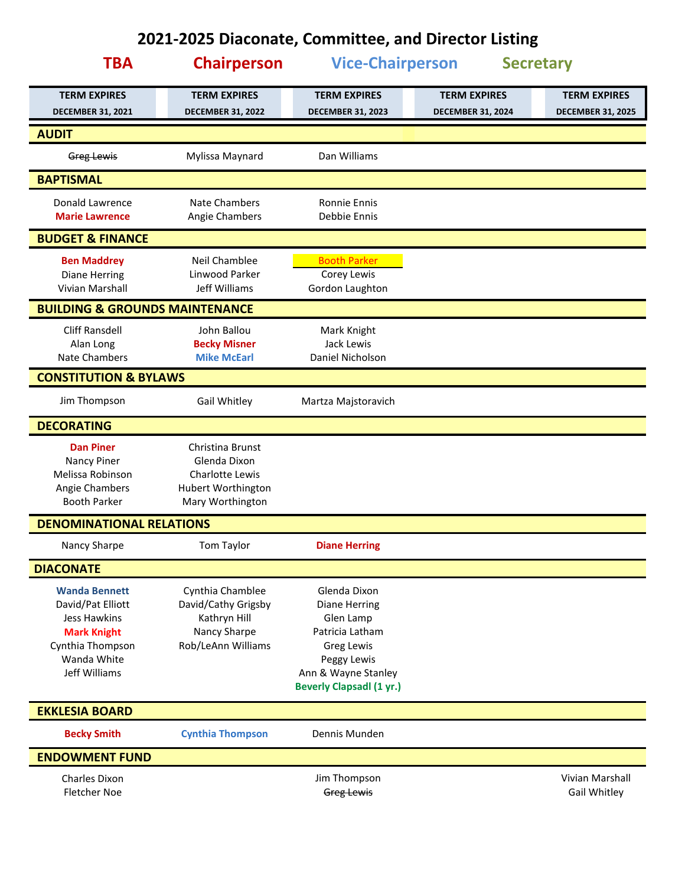## **2021-2025 Diaconate, Committee, and Director Listing**

| <b>TBA</b>                                      | <b>Chairperson</b>                              | <b>Vice-Chairperson</b>                                |                                                 | <b>Secretary</b>                                |
|-------------------------------------------------|-------------------------------------------------|--------------------------------------------------------|-------------------------------------------------|-------------------------------------------------|
| <b>TERM EXPIRES</b><br><b>DECEMBER 31, 2021</b> | <b>TERM EXPIRES</b><br><b>DECEMBER 31, 2022</b> | <b>TERM EXPIRES</b><br><b>DECEMBER 31, 2023</b>        | <b>TERM EXPIRES</b><br><b>DECEMBER 31, 2024</b> | <b>TERM EXPIRES</b><br><b>DECEMBER 31, 2025</b> |
| <b>AUDIT</b>                                    |                                                 |                                                        |                                                 |                                                 |
| Greg Lewis                                      | Mylissa Maynard                                 | Dan Williams                                           |                                                 |                                                 |
| <b>BAPTISMAL</b>                                |                                                 |                                                        |                                                 |                                                 |
| Donald Lawrence                                 | Nate Chambers                                   | <b>Ronnie Ennis</b>                                    |                                                 |                                                 |
| <b>Marie Lawrence</b>                           | Angie Chambers                                  | Debbie Ennis                                           |                                                 |                                                 |
| <b>BUDGET &amp; FINANCE</b>                     |                                                 |                                                        |                                                 |                                                 |
| <b>Ben Maddrey</b>                              | Neil Chamblee                                   | <b>Booth Parker</b>                                    |                                                 |                                                 |
| <b>Diane Herring</b>                            | Linwood Parker                                  | Corey Lewis                                            |                                                 |                                                 |
| Vivian Marshall                                 | Jeff Williams                                   | Gordon Laughton                                        |                                                 |                                                 |
| <b>BUILDING &amp; GROUNDS MAINTENANCE</b>       |                                                 |                                                        |                                                 |                                                 |
| <b>Cliff Ransdell</b>                           | John Ballou                                     | Mark Knight                                            |                                                 |                                                 |
| Alan Long                                       | <b>Becky Misner</b>                             | Jack Lewis                                             |                                                 |                                                 |
| Nate Chambers                                   | <b>Mike McEarl</b>                              | Daniel Nicholson                                       |                                                 |                                                 |
| <b>CONSTITUTION &amp; BYLAWS</b>                |                                                 |                                                        |                                                 |                                                 |
| Jim Thompson                                    | Gail Whitley                                    | Martza Majstoravich                                    |                                                 |                                                 |
| <b>DECORATING</b>                               |                                                 |                                                        |                                                 |                                                 |
| <b>Dan Piner</b>                                | Christina Brunst                                |                                                        |                                                 |                                                 |
| Nancy Piner                                     | Glenda Dixon                                    |                                                        |                                                 |                                                 |
| Melissa Robinson                                | <b>Charlotte Lewis</b>                          |                                                        |                                                 |                                                 |
| Angie Chambers<br><b>Booth Parker</b>           | Hubert Worthington<br>Mary Worthington          |                                                        |                                                 |                                                 |
|                                                 |                                                 |                                                        |                                                 |                                                 |
| <b>DENOMINATIONAL RELATIONS</b>                 |                                                 |                                                        |                                                 |                                                 |
| Nancy Sharpe                                    | Tom Taylor                                      | <b>Diane Herring</b>                                   |                                                 |                                                 |
| <b>DIACONATE</b>                                |                                                 |                                                        |                                                 |                                                 |
| <b>Wanda Bennett</b>                            | Cynthia Chamblee                                | Glenda Dixon                                           |                                                 |                                                 |
| David/Pat Elliott                               | David/Cathy Grigsby                             | <b>Diane Herring</b>                                   |                                                 |                                                 |
| <b>Jess Hawkins</b>                             | Kathryn Hill                                    | Glen Lamp                                              |                                                 |                                                 |
| <b>Mark Knight</b>                              | Nancy Sharpe                                    | Patricia Latham                                        |                                                 |                                                 |
| Cynthia Thompson                                | Rob/LeAnn Williams                              | <b>Greg Lewis</b>                                      |                                                 |                                                 |
| Wanda White                                     |                                                 | Peggy Lewis                                            |                                                 |                                                 |
| Jeff Williams                                   |                                                 | Ann & Wayne Stanley<br><b>Beverly Clapsadl (1 yr.)</b> |                                                 |                                                 |
|                                                 |                                                 |                                                        |                                                 |                                                 |
| <b>EKKLESIA BOARD</b>                           |                                                 |                                                        |                                                 |                                                 |
| <b>Becky Smith</b>                              | <b>Cynthia Thompson</b>                         | Dennis Munden                                          |                                                 |                                                 |
| <b>ENDOWMENT FUND</b>                           |                                                 |                                                        |                                                 |                                                 |
| <b>Charles Dixon</b>                            |                                                 | Jim Thompson                                           |                                                 | Vivian Marshall                                 |
| <b>Fletcher Noe</b>                             |                                                 | Greg Lewis                                             |                                                 | Gail Whitley                                    |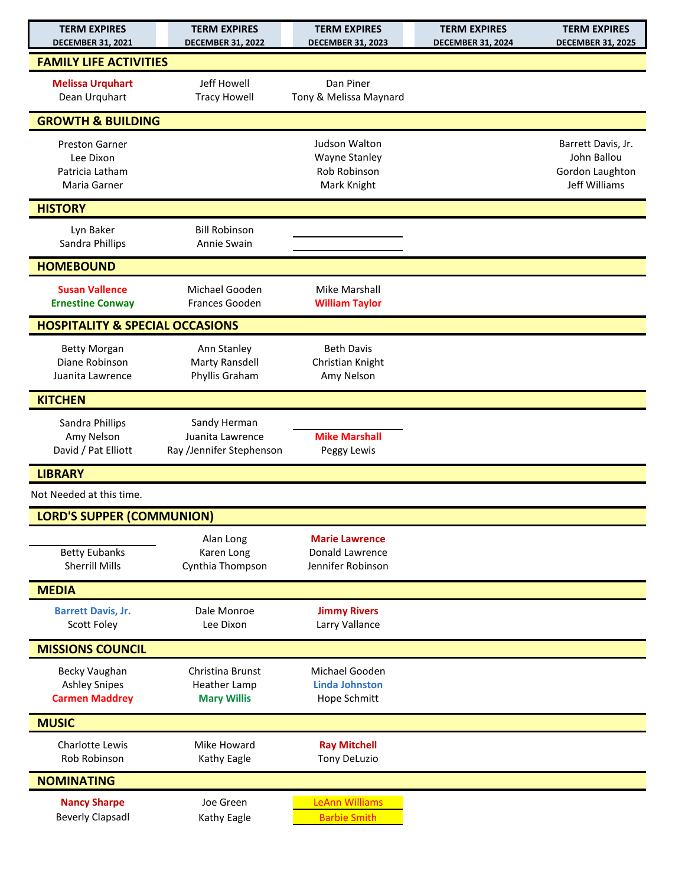| <b>TERM EXPIRES</b><br><b>DECEMBER 31, 2021</b>                       | <b>TERM EXPIRES</b><br><b>DECEMBER 31, 2022</b>               | <b>TERM EXPIRES</b><br><b>DECEMBER 31, 2023</b>                      | <b>TERM EXPIRES</b><br><b>DECEMBER 31, 2024</b> | <b>TERM EXPIRES</b><br><b>DECEMBER 31, 2025</b>                       |
|-----------------------------------------------------------------------|---------------------------------------------------------------|----------------------------------------------------------------------|-------------------------------------------------|-----------------------------------------------------------------------|
| <b>FAMILY LIFE ACTIVITIES</b>                                         |                                                               |                                                                      |                                                 |                                                                       |
| <b>Melissa Urquhart</b><br>Dean Urquhart                              | Jeff Howell<br><b>Tracy Howell</b>                            | Dan Piner<br>Tony & Melissa Maynard                                  |                                                 |                                                                       |
| <b>GROWTH &amp; BUILDING</b>                                          |                                                               |                                                                      |                                                 |                                                                       |
| <b>Preston Garner</b><br>Lee Dixon<br>Patricia Latham<br>Maria Garner |                                                               | Judson Walton<br><b>Wayne Stanley</b><br>Rob Robinson<br>Mark Knight |                                                 | Barrett Davis, Jr.<br>John Ballou<br>Gordon Laughton<br>Jeff Williams |
| <b>HISTORY</b>                                                        |                                                               |                                                                      |                                                 |                                                                       |
| Lyn Baker<br>Sandra Phillips                                          | <b>Bill Robinson</b><br>Annie Swain                           |                                                                      |                                                 |                                                                       |
| <b>HOMEBOUND</b>                                                      |                                                               |                                                                      |                                                 |                                                                       |
| <b>Susan Vallence</b><br><b>Ernestine Conway</b>                      | Michael Gooden<br><b>Frances Gooden</b>                       | Mike Marshall<br><b>William Taylor</b>                               |                                                 |                                                                       |
| <b>HOSPITALITY &amp; SPECIAL OCCASIONS</b>                            |                                                               |                                                                      |                                                 |                                                                       |
| <b>Betty Morgan</b><br>Diane Robinson<br>Juanita Lawrence             | Ann Stanley<br>Marty Ransdell<br>Phyllis Graham               | <b>Beth Davis</b><br>Christian Knight<br>Amy Nelson                  |                                                 |                                                                       |
| <b>KITCHEN</b>                                                        |                                                               |                                                                      |                                                 |                                                                       |
| Sandra Phillips<br>Amy Nelson<br>David / Pat Elliott                  | Sandy Herman<br>Juanita Lawrence<br>Ray /Jennifer Stephenson  | <b>Mike Marshall</b><br>Peggy Lewis                                  |                                                 |                                                                       |
| <b>LIBRARY</b>                                                        |                                                               |                                                                      |                                                 |                                                                       |
| Not Needed at this time.                                              |                                                               |                                                                      |                                                 |                                                                       |
| <b>LORD'S SUPPER (COMMUNION)</b>                                      |                                                               |                                                                      |                                                 |                                                                       |
| <b>Betty Eubanks</b><br><b>Sherrill Mills</b>                         | Alan Long<br>Karen Long<br>Cynthia Thompson                   | <b>Marie Lawrence</b><br>Donald Lawrence<br>Jennifer Robinson        |                                                 |                                                                       |
| <b>MEDIA</b>                                                          |                                                               |                                                                      |                                                 |                                                                       |
| <b>Barrett Davis, Jr.</b><br>Scott Foley                              | Dale Monroe<br>Lee Dixon                                      | <b>Jimmy Rivers</b><br>Larry Vallance                                |                                                 |                                                                       |
| <b>MISSIONS COUNCIL</b>                                               |                                                               |                                                                      |                                                 |                                                                       |
| <b>Becky Vaughan</b><br><b>Ashley Snipes</b><br><b>Carmen Maddrey</b> | Christina Brunst<br><b>Heather Lamp</b><br><b>Mary Willis</b> | Michael Gooden<br><b>Linda Johnston</b><br>Hope Schmitt              |                                                 |                                                                       |
| <b>MUSIC</b>                                                          |                                                               |                                                                      |                                                 |                                                                       |
| Charlotte Lewis<br>Rob Robinson                                       | Mike Howard<br>Kathy Eagle                                    | <b>Ray Mitchell</b><br><b>Tony DeLuzio</b>                           |                                                 |                                                                       |
| <b>NOMINATING</b>                                                     |                                                               |                                                                      |                                                 |                                                                       |
| <b>Nancy Sharpe</b><br><b>Beverly Clapsadl</b>                        | Joe Green<br>Kathy Eagle                                      | <b>LeAnn Williams</b><br><b>Barbie Smith</b>                         |                                                 |                                                                       |